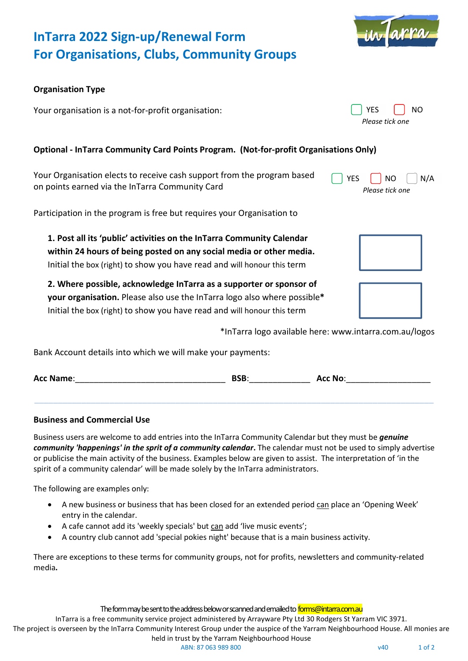

# **InTarra 2022 Sign-up/Renewal Form For Organisations, Clubs, Community Groups**

## **Organisation Type**

Your organisation is a not-for-profit organisation:

# **Optional - InTarra Community Card Points Program. (Not-for-profit Organisations Only)**

Your Organisation elects to receive cash support from the program based on points earned via the InTarra Community Card

Participation in the program is free but requires your Organisation to

**1. Post all its 'public' activities on the InTarra Community Calendar within 24 hours of being posted on any social media or other media.**  Initial the box (right) to show you have read and will honour this term

**2. Where possible, acknowledge InTarra as a supporter or sponsor of your organisation.** Please also use the InTarra logo also where possible**\*** Initial the box (right) to show you have read and will honour this term

\*InTarra logo available here: www.intarra.com.au/logos

Bank Account details into which we will make your payments:

| <b>Acc Name:</b> | <b>BSB</b> | <b>Acc No:</b> |
|------------------|------------|----------------|
|------------------|------------|----------------|

**\_\_\_\_\_\_\_\_\_\_\_\_\_\_\_\_\_\_\_\_\_\_\_\_\_\_\_\_\_\_\_\_\_\_\_\_\_\_\_\_\_\_\_\_\_\_\_\_\_\_\_\_\_\_\_\_\_\_\_\_\_\_\_\_\_\_\_\_\_\_\_\_\_\_\_\_\_\_\_\_\_\_\_\_\_**

### **Business and Commercial Use**

Business users are welcome to add entries into the InTarra Community Calendar but they must be *genuine community 'happenings' in the sprit of a community calendar***.** The calendar must not be used to simply advertise or publicise the main activity of the business. Examples below are given to assist. The interpretation of 'in the spirit of a community calendar' will be made solely by the InTarra administrators.

The following are examples only:

- A new business or business that has been closed for an extended period can place an 'Opening Week' entry in the calendar.
- A cafe cannot add its 'weekly specials' but can add 'live music events';
- A country club cannot add 'special pokies night' because that is a main business activity.

There are exceptions to these terms for community groups, not for profits, newsletters and community-related media**.**

The form may be sent to the address below or scanned and emailed to **forms@intarra.com.au** 

InTarra is a free community service project administered by Arrayware Pty Ltd 30 Rodgers St Yarram VIC 3971. The project is overseen by the InTarra Community Interest Group under the auspice of the Yarram Neighbourhood House. All monies are

ABN: 87 063 989 800 v40 v40 1 of 2

YES NO N/A *Please tick one*









YES | NO *Please tick one*